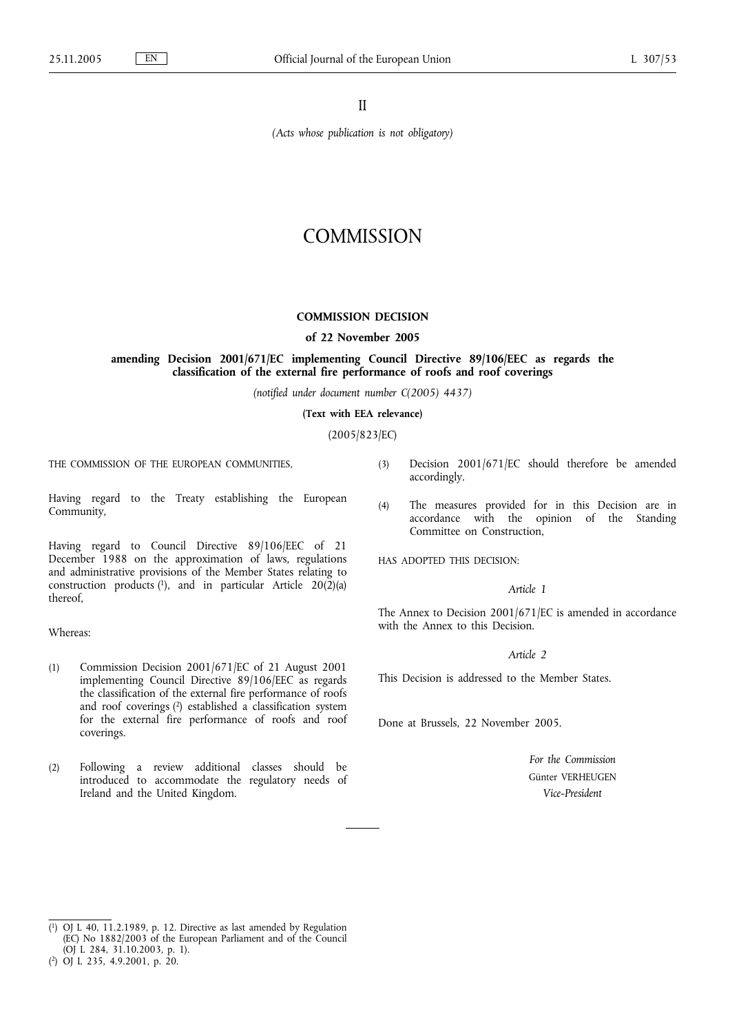II

*(Acts whose publication is not obligatory)*

# **COMMISSION**

## **COMMISSION DECISION**

#### **of 22 November 2005**

# **amending Decision 2001/671/EC implementing Council Directive 89/106/EEC as regards the classification of the external fire performance of roofs and roof coverings**

*(notified under document number C(2005) 4437)*

**(Text with EEA relevance)**

(2005/823/EC)

THE COMMISSION OF THE EUROPEAN COMMUNITIES,

Having regard to the Treaty establishing the European Community,

Having regard to Council Directive 89/106/EEC of 21 December 1988 on the approximation of laws, regulations and administrative provisions of the Member States relating to construction products  $(1)$ , and in particular Article 20 $(2)(a)$ thereof,

Whereas:

- (1) Commission Decision 2001/671/EC of 21 August 2001 implementing Council Directive 89/106/EEC as regards the classification of the external fire performance of roofs and roof coverings (2) established a classification system for the external fire performance of roofs and roof coverings.
- (2) Following a review additional classes should be introduced to accommodate the regulatory needs of Ireland and the United Kingdom.
- (3) Decision 2001/671/EC should therefore be amended accordingly.
- (4) The measures provided for in this Decision are in accordance with the opinion of the Standing Committee on Construction,

HAS ADOPTED THIS DECISION:

## *Article 1*

The Annex to Decision 2001/671/EC is amended in accordance with the Annex to this Decision.

## *Article 2*

This Decision is addressed to the Member States.

Done at Brussels, 22 November 2005.

*For the Commission* Günter VERHEUGEN *Vice-President*

<sup>(</sup> 1) OJ L 40, 11.2.1989, p. 12. Directive as last amended by Regulation (EC) No 1882/2003 of the European Parliament and of the Council (OJ L 284, 31.10.2003, p. 1).

<sup>(</sup> 2) OJ L 235, 4.9.2001, p. 20.